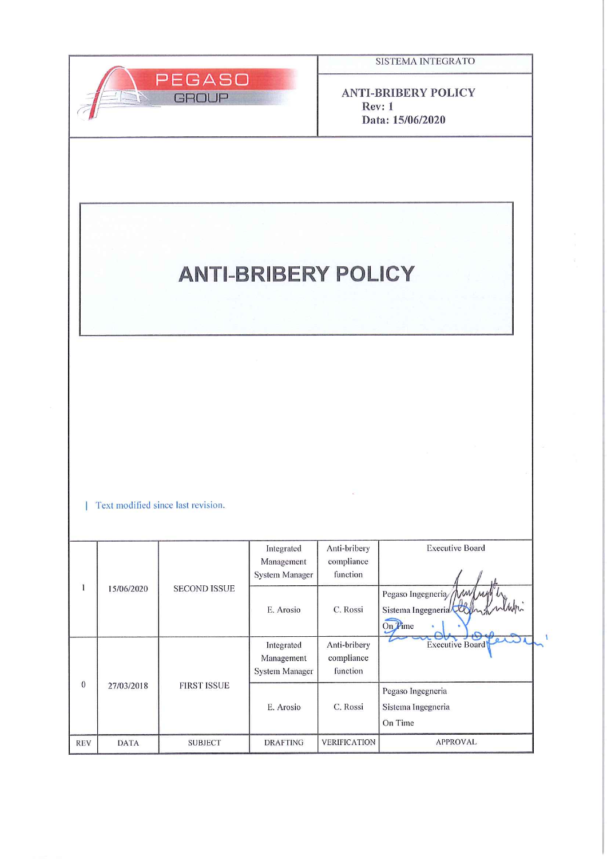

**ANTI-BRIBERY POLICY**  $Rev: 1$ Data: 15/06/2020

# **ANTI-BRIBERY POLICY**

| Text modified since last revision.

|            | 15/06/2020  | <b>SECOND ISSUE</b> | Integrated<br>Management<br><b>System Manager</b> | Anti-bribery<br>compliance<br>function | <b>Executive Board</b>                                   |
|------------|-------------|---------------------|---------------------------------------------------|----------------------------------------|----------------------------------------------------------|
|            |             |                     | E. Arosio                                         | C. Rossi                               | Pegaso Ingegneria MW MM<br>Sistema Ingegneria<br>On Time |
| $\theta$   | 27/03/2018  | <b>FIRST ISSUE</b>  | Integrated<br>Management<br>System Manager        | Anti-bribery<br>compliance<br>function | UV.<br>ノモン<br><b>Executive Board</b>                     |
|            |             |                     | E. Arosio                                         | C. Rossi                               | Pegaso Ingegneria<br>Sistema Ingegneria<br>On Time       |
| <b>REV</b> | <b>DATA</b> | <b>SUBJECT</b>      | <b>DRAFTING</b>                                   | <b>VERIFICATION</b>                    | <b>APPROVAL</b>                                          |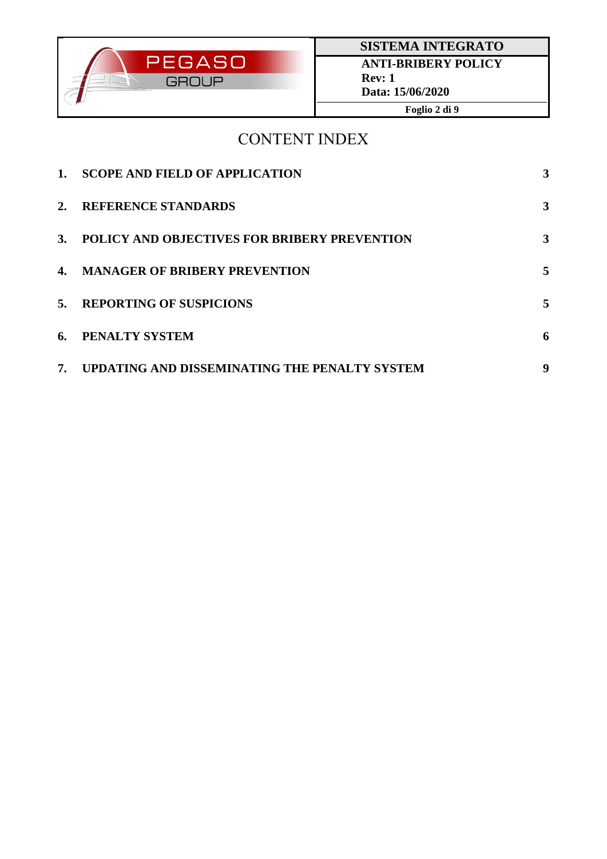

## CONTENT INDEX

| $\mathbf{1}$ . | <b>SCOPE AND FIELD OF APPLICATION</b>               | 3            |
|----------------|-----------------------------------------------------|--------------|
| 2.             | <b>REFERENCE STANDARDS</b>                          | $\mathbf{3}$ |
| <b>3.</b>      | <b>POLICY AND OBJECTIVES FOR BRIBERY PREVENTION</b> | 3            |
|                | 4. MANAGER OF BRIBERY PREVENTION                    | 5            |
| 5.             | <b>REPORTING OF SUSPICIONS</b>                      | 5            |
| 6.             | PENALTY SYSTEM                                      | 6            |
| 7.             | UPDATING AND DISSEMINATING THE PENALTY SYSTEM       | 9            |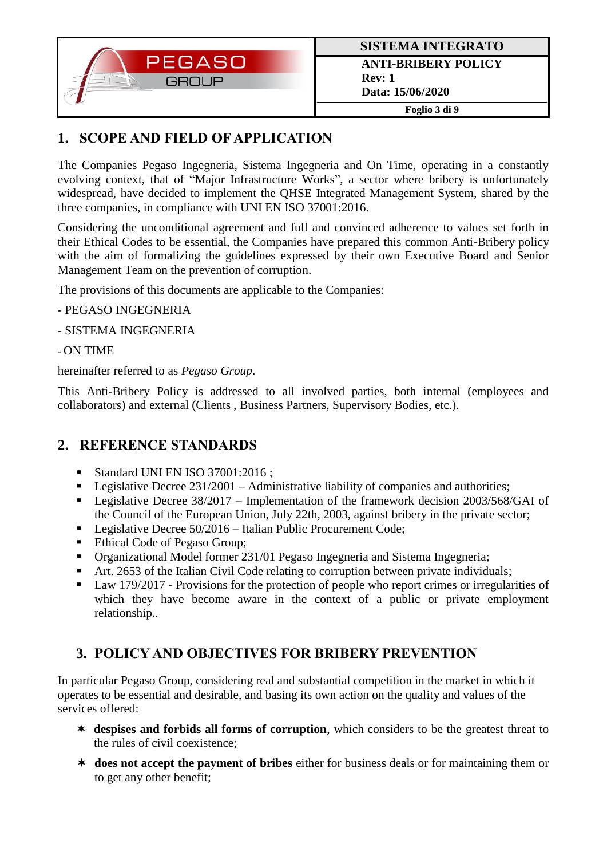

## **1. SCOPE AND FIELD OF APPLICATION**

The Companies Pegaso Ingegneria, Sistema Ingegneria and On Time, operating in a constantly evolving context, that of "Major Infrastructure Works", a sector where bribery is unfortunately widespread, have decided to implement the QHSE Integrated Management System, shared by the three companies, in compliance with UNI EN ISO 37001:2016.

Considering the unconditional agreement and full and convinced adherence to values set forth in their Ethical Codes to be essential, the Companies have prepared this common Anti-Bribery policy with the aim of formalizing the guidelines expressed by their own Executive Board and Senior Management Team on the prevention of corruption.

The provisions of this documents are applicable to the Companies:

- PEGASO INGEGNERIA
- SISTEMA INGEGNERIA

- ON TIME

hereinafter referred to as *Pegaso Group*.

This Anti-Bribery Policy is addressed to all involved parties, both internal (employees and collaborators) and external (Clients , Business Partners, Supervisory Bodies, etc.).

### **2. REFERENCE STANDARDS**

- Standard UNI EN ISO 37001:2016 :
- Legislative Decree  $231/2001$  Administrative liability of companies and authorities;
- Legislative Decree 38/2017 Implementation of the framework decision 2003/568/GAI of the Council of the European Union, July 22th, 2003, against bribery in the private sector;
- Legislative Decree 50/2016 Italian Public Procurement Code;
- Ethical Code of Pegaso Group;
- Organizational Model former 231/01 Pegaso Ingegneria and Sistema Ingegneria;
- Art. 2653 of the Italian Civil Code relating to corruption between private individuals;
- Law 179/2017 Provisions for the protection of people who report crimes or irregularities of which they have become aware in the context of a public or private employment relationship..

## **3. POLICY AND OBJECTIVES FOR BRIBERY PREVENTION**

In particular Pegaso Group, considering real and substantial competition in the market in which it operates to be essential and desirable, and basing its own action on the quality and values of the services offered:

- **despises and forbids all forms of corruption**, which considers to be the greatest threat to the rules of civil coexistence;
- **does not accept the payment of bribes** either for business deals or for maintaining them or to get any other benefit;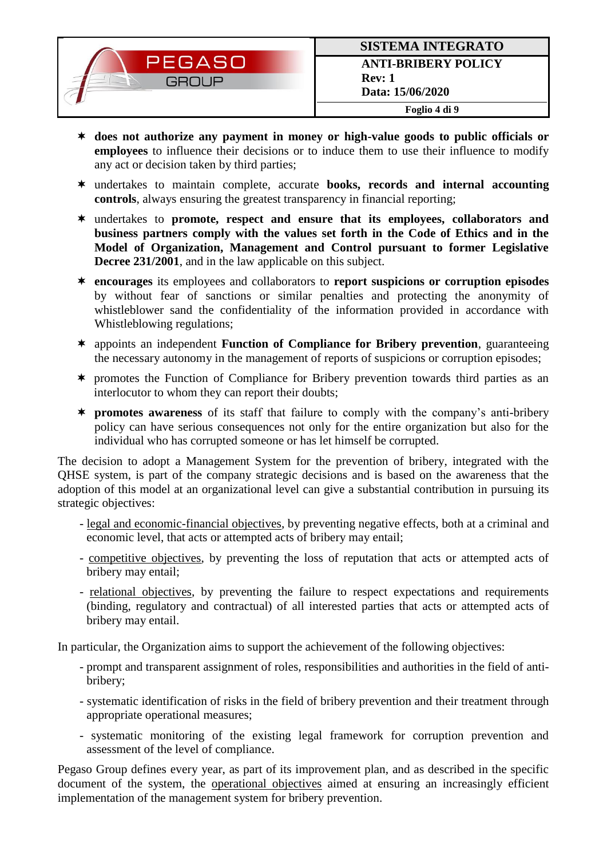

- **does not authorize any payment in money or high-value goods to public officials or employees** to influence their decisions or to induce them to use their influence to modify any act or decision taken by third parties;
- undertakes to maintain complete, accurate **books, records and internal accounting controls**, always ensuring the greatest transparency in financial reporting;
- undertakes to **promote, respect and ensure that its employees, collaborators and business partners comply with the values set forth in the Code of Ethics and in the Model of Organization, Management and Control pursuant to former Legislative Decree 231/2001**, and in the law applicable on this subject.
- **encourages** its employees and collaborators to **report suspicions or corruption episodes** by without fear of sanctions or similar penalties and protecting the anonymity of whistleblower sand the confidentiality of the information provided in accordance with Whistleblowing regulations;
- appoints an independent **Function of Compliance for Bribery prevention**, guaranteeing the necessary autonomy in the management of reports of suspicions or corruption episodes;
- promotes the Function of Compliance for Bribery prevention towards third parties as an interlocutor to whom they can report their doubts;
- **promotes awareness** of its staff that failure to comply with the company's anti-bribery policy can have serious consequences not only for the entire organization but also for the individual who has corrupted someone or has let himself be corrupted.

The decision to adopt a Management System for the prevention of bribery, integrated with the QHSE system, is part of the company strategic decisions and is based on the awareness that the adoption of this model at an organizational level can give a substantial contribution in pursuing its strategic objectives:

- legal and economic-financial objectives, by preventing negative effects, both at a criminal and economic level, that acts or attempted acts of bribery may entail;
- competitive objectives, by preventing the loss of reputation that acts or attempted acts of bribery may entail;
- relational objectives, by preventing the failure to respect expectations and requirements (binding, regulatory and contractual) of all interested parties that acts or attempted acts of bribery may entail.

In particular, the Organization aims to support the achievement of the following objectives:

- prompt and transparent assignment of roles, responsibilities and authorities in the field of antibribery;
- systematic identification of risks in the field of bribery prevention and their treatment through appropriate operational measures;
- systematic monitoring of the existing legal framework for corruption prevention and assessment of the level of compliance.

Pegaso Group defines every year, as part of its improvement plan, and as described in the specific document of the system, the operational objectives aimed at ensuring an increasingly efficient implementation of the management system for bribery prevention.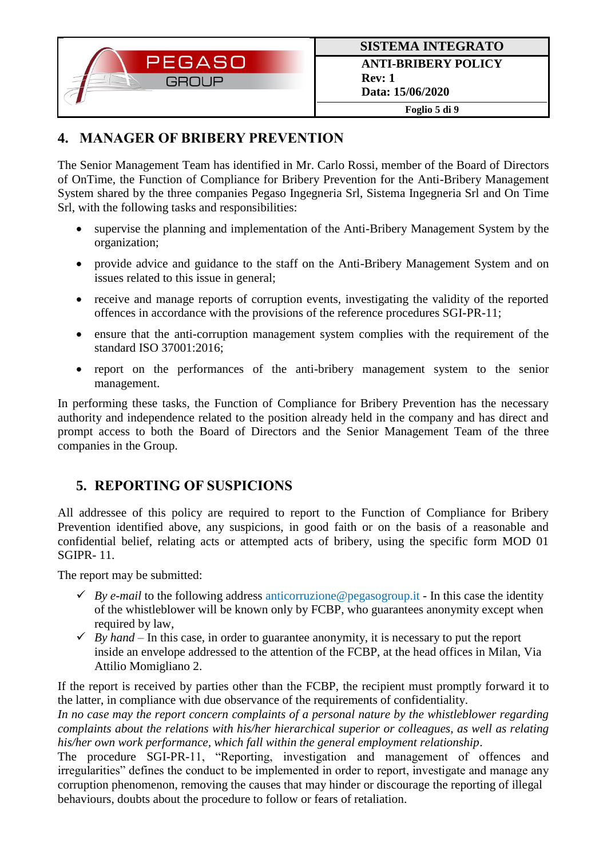

### **4. MANAGER OF BRIBERY PREVENTION**

The Senior Management Team has identified in Mr. Carlo Rossi, member of the Board of Directors of OnTime, the Function of Compliance for Bribery Prevention for the Anti-Bribery Management System shared by the three companies Pegaso Ingegneria Srl, Sistema Ingegneria Srl and On Time Srl, with the following tasks and responsibilities:

- supervise the planning and implementation of the Anti-Bribery Management System by the organization;
- provide advice and guidance to the staff on the Anti-Bribery Management System and on issues related to this issue in general;
- receive and manage reports of corruption events, investigating the validity of the reported offences in accordance with the provisions of the reference procedures SGI-PR-11;
- ensure that the anti-corruption management system complies with the requirement of the standard ISO 37001:2016;
- report on the performances of the anti-bribery management system to the senior management.

In performing these tasks, the Function of Compliance for Bribery Prevention has the necessary authority and independence related to the position already held in the company and has direct and prompt access to both the Board of Directors and the Senior Management Team of the three companies in the Group.

## **5. REPORTING OF SUSPICIONS**

All addressee of this policy are required to report to the Function of Compliance for Bribery Prevention identified above, any suspicions, in good faith or on the basis of a reasonable and confidential belief, relating acts or attempted acts of bribery, using the specific form MOD 01 SGIPR- 11.

The report may be submitted:

- $\checkmark$  *By e-mail* to the following address anticorruzione@pegasogroup.it In this case the identity of the whistleblower will be known only by FCBP, who guarantees anonymity except when required by law.
- $\checkmark$  *By hand* In this case, in order to guarantee anonymity, it is necessary to put the report inside an envelope addressed to the attention of the FCBP, at the head offices in Milan, Via Attilio Momigliano 2.

If the report is received by parties other than the FCBP, the recipient must promptly forward it to the latter, in compliance with due observance of the requirements of confidentiality.

*In no case may the report concern complaints of a personal nature by the whistleblower regarding complaints about the relations with his/her hierarchical superior or colleagues, as well as relating his/her own work performance, which fall within the general employment relationship*.

The procedure SGI-PR-11, "Reporting, investigation and management of offences and irregularities" defines the conduct to be implemented in order to report, investigate and manage any corruption phenomenon, removing the causes that may hinder or discourage the reporting of illegal behaviours, doubts about the procedure to follow or fears of retaliation.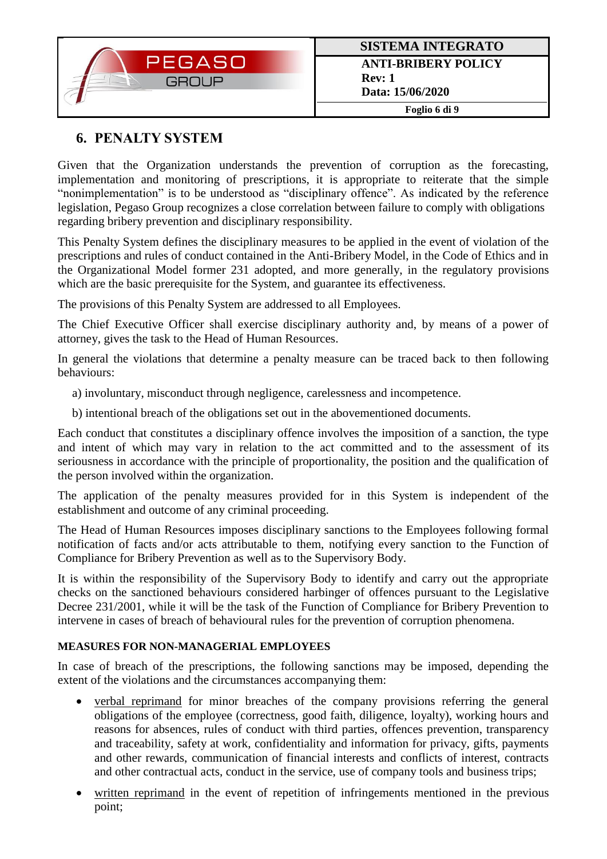

## **6. PENALTY SYSTEM**

Given that the Organization understands the prevention of corruption as the forecasting, implementation and monitoring of prescriptions, it is appropriate to reiterate that the simple "nonimplementation" is to be understood as "disciplinary offence". As indicated by the reference legislation, Pegaso Group recognizes a close correlation between failure to comply with obligations regarding bribery prevention and disciplinary responsibility.

This Penalty System defines the disciplinary measures to be applied in the event of violation of the prescriptions and rules of conduct contained in the Anti-Bribery Model, in the Code of Ethics and in the Organizational Model former 231 adopted, and more generally, in the regulatory provisions which are the basic prerequisite for the System, and guarantee its effectiveness.

The provisions of this Penalty System are addressed to all Employees.

The Chief Executive Officer shall exercise disciplinary authority and, by means of a power of attorney, gives the task to the Head of Human Resources.

In general the violations that determine a penalty measure can be traced back to then following behaviours:

- a) involuntary, misconduct through negligence, carelessness and incompetence.
- b) intentional breach of the obligations set out in the abovementioned documents.

Each conduct that constitutes a disciplinary offence involves the imposition of a sanction, the type and intent of which may vary in relation to the act committed and to the assessment of its seriousness in accordance with the principle of proportionality, the position and the qualification of the person involved within the organization.

The application of the penalty measures provided for in this System is independent of the establishment and outcome of any criminal proceeding.

The Head of Human Resources imposes disciplinary sanctions to the Employees following formal notification of facts and/or acts attributable to them, notifying every sanction to the Function of Compliance for Bribery Prevention as well as to the Supervisory Body.

It is within the responsibility of the Supervisory Body to identify and carry out the appropriate checks on the sanctioned behaviours considered harbinger of offences pursuant to the Legislative Decree 231/2001, while it will be the task of the Function of Compliance for Bribery Prevention to intervene in cases of breach of behavioural rules for the prevention of corruption phenomena.

#### **MEASURES FOR NON-MANAGERIAL EMPLOYEES**

In case of breach of the prescriptions, the following sanctions may be imposed, depending the extent of the violations and the circumstances accompanying them:

- verbal reprimand for minor breaches of the company provisions referring the general obligations of the employee (correctness, good faith, diligence, loyalty), working hours and reasons for absences, rules of conduct with third parties, offences prevention, transparency and traceability, safety at work, confidentiality and information for privacy, gifts, payments and other rewards, communication of financial interests and conflicts of interest, contracts and other contractual acts, conduct in the service, use of company tools and business trips;
- written reprimand in the event of repetition of infringements mentioned in the previous point;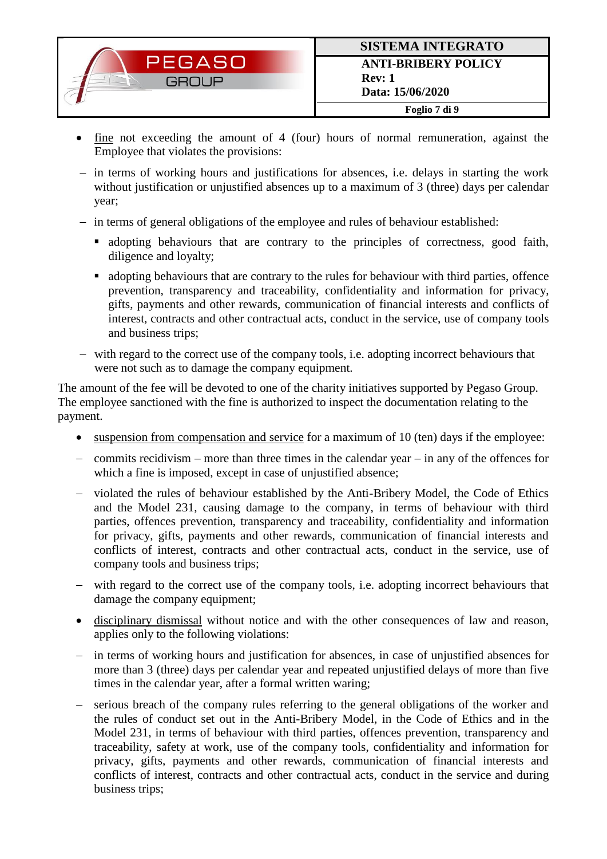

- fine not exceeding the amount of 4 (four) hours of normal remuneration, against the Employee that violates the provisions:
- in terms of working hours and justifications for absences, i.e. delays in starting the work without justification or unjustified absences up to a maximum of 3 (three) days per calendar year;
- in terms of general obligations of the employee and rules of behaviour established:
	- adopting behaviours that are contrary to the principles of correctness, good faith, diligence and loyalty;
	- adopting behaviours that are contrary to the rules for behaviour with third parties, offence prevention, transparency and traceability, confidentiality and information for privacy, gifts, payments and other rewards, communication of financial interests and conflicts of interest, contracts and other contractual acts, conduct in the service, use of company tools and business trips;
- with regard to the correct use of the company tools, i.e. adopting incorrect behaviours that were not such as to damage the company equipment.

The amount of the fee will be devoted to one of the charity initiatives supported by Pegaso Group. The employee sanctioned with the fine is authorized to inspect the documentation relating to the payment.

- suspension from compensation and service for a maximum of 10 (ten) days if the employee:
- commits recidivism more than three times in the calendar year in any of the offences for which a fine is imposed, except in case of unjustified absence;
- violated the rules of behaviour established by the Anti-Bribery Model, the Code of Ethics and the Model 231, causing damage to the company, in terms of behaviour with third parties, offences prevention, transparency and traceability, confidentiality and information for privacy, gifts, payments and other rewards, communication of financial interests and conflicts of interest, contracts and other contractual acts, conduct in the service, use of company tools and business trips;
- with regard to the correct use of the company tools, i.e. adopting incorrect behaviours that damage the company equipment:
- disciplinary dismissal without notice and with the other consequences of law and reason, applies only to the following violations:
- in terms of working hours and justification for absences, in case of unjustified absences for more than 3 (three) days per calendar year and repeated unjustified delays of more than five times in the calendar year, after a formal written waring;
- serious breach of the company rules referring to the general obligations of the worker and the rules of conduct set out in the Anti-Bribery Model, in the Code of Ethics and in the Model 231, in terms of behaviour with third parties, offences prevention, transparency and traceability, safety at work, use of the company tools, confidentiality and information for privacy, gifts, payments and other rewards, communication of financial interests and conflicts of interest, contracts and other contractual acts, conduct in the service and during business trips;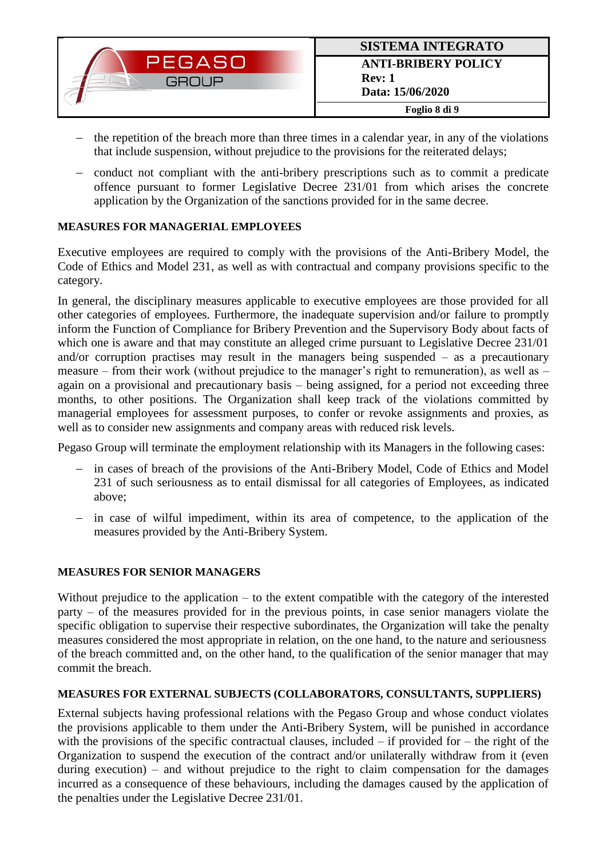- the repetition of the breach more than three times in a calendar year, in any of the violations that include suspension, without prejudice to the provisions for the reiterated delays;
- conduct not compliant with the anti-bribery prescriptions such as to commit a predicate offence pursuant to former Legislative Decree 231/01 from which arises the concrete application by the Organization of the sanctions provided for in the same decree.

#### **MEASURES FOR MANAGERIAL EMPLOYEES**

Executive employees are required to comply with the provisions of the Anti-Bribery Model, the Code of Ethics and Model 231, as well as with contractual and company provisions specific to the category.

In general, the disciplinary measures applicable to executive employees are those provided for all other categories of employees. Furthermore, the inadequate supervision and/or failure to promptly inform the Function of Compliance for Bribery Prevention and the Supervisory Body about facts of which one is aware and that may constitute an alleged crime pursuant to Legislative Decree 231/01 and/or corruption practises may result in the managers being suspended – as a precautionary measure – from their work (without prejudice to the manager's right to remuneration), as well as – again on a provisional and precautionary basis – being assigned, for a period not exceeding three months, to other positions. The Organization shall keep track of the violations committed by managerial employees for assessment purposes, to confer or revoke assignments and proxies, as well as to consider new assignments and company areas with reduced risk levels.

Pegaso Group will terminate the employment relationship with its Managers in the following cases:

- in cases of breach of the provisions of the Anti-Bribery Model, Code of Ethics and Model 231 of such seriousness as to entail dismissal for all categories of Employees, as indicated above;
- in case of wilful impediment, within its area of competence, to the application of the measures provided by the Anti-Bribery System.

#### **MEASURES FOR SENIOR MANAGERS**

Without prejudice to the application – to the extent compatible with the category of the interested party – of the measures provided for in the previous points, in case senior managers violate the specific obligation to supervise their respective subordinates, the Organization will take the penalty measures considered the most appropriate in relation, on the one hand, to the nature and seriousness of the breach committed and, on the other hand, to the qualification of the senior manager that may commit the breach.

#### **MEASURES FOR EXTERNAL SUBJECTS (COLLABORATORS, CONSULTANTS, SUPPLIERS)**

External subjects having professional relations with the Pegaso Group and whose conduct violates the provisions applicable to them under the Anti-Bribery System, will be punished in accordance with the provisions of the specific contractual clauses, included  $-$  if provided for  $-$  the right of the Organization to suspend the execution of the contract and/or unilaterally withdraw from it (even during execution) – and without prejudice to the right to claim compensation for the damages incurred as a consequence of these behaviours, including the damages caused by the application of the penalties under the Legislative Decree 231/01.